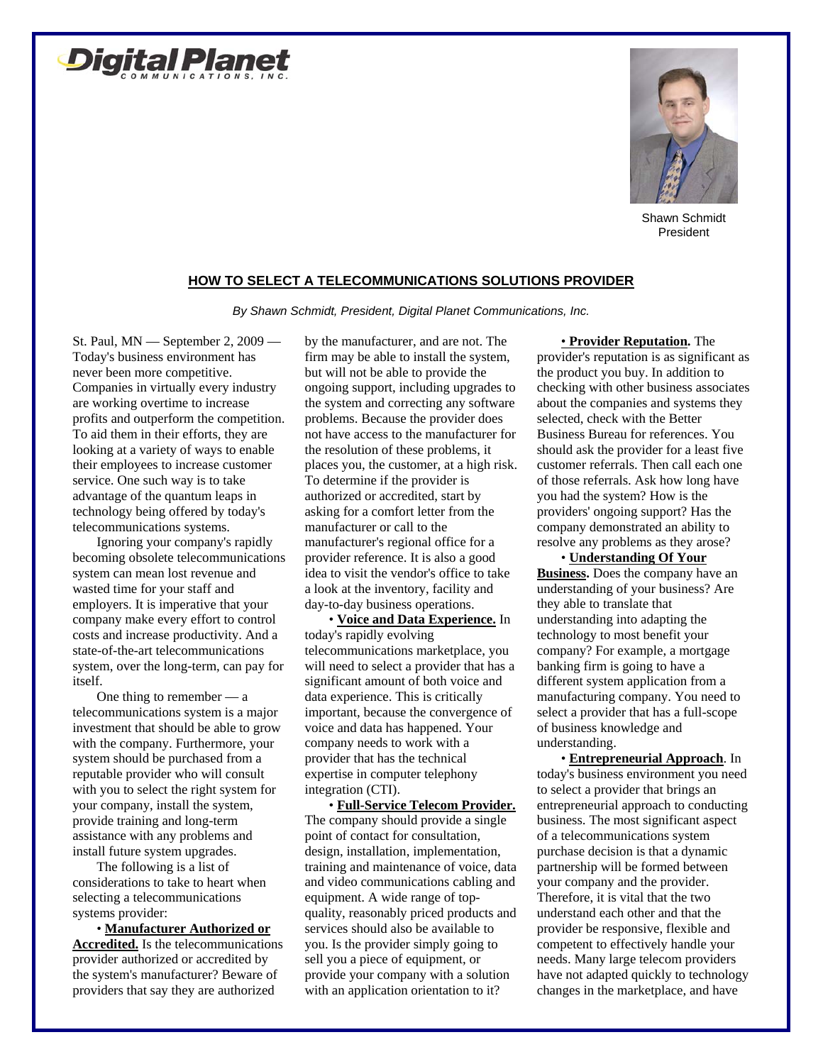



Shawn Schmidt President

## **HOW TO SELECT A TELECOMMUNICATIONS SOLUTIONS PROVIDER**

*By Shawn Schmidt, President, Digital Planet Communications, Inc.* 

St. Paul, MN — September 2, 2009 — Today's business environment has never been more competitive. Companies in virtually every industry are working overtime to increase profits and outperform the competition. To aid them in their efforts, they are looking at a variety of ways to enable their employees to increase customer service. One such way is to take advantage of the quantum leaps in technology being offered by today's telecommunications systems.

Ignoring your company's rapidly becoming obsolete telecommunications system can mean lost revenue and wasted time for your staff and employers. It is imperative that your company make every effort to control costs and increase productivity. And a state-of-the-art telecommunications system, over the long-term, can pay for itself.

One thing to remember  $-$  a telecommunications system is a major investment that should be able to grow with the company. Furthermore, your system should be purchased from a reputable provider who will consult with you to select the right system for your company, install the system, provide training and long-term assistance with any problems and install future system upgrades.

The following is a list of considerations to take to heart when selecting a telecommunications systems provider:

• **Manufacturer Authorized or Accredited.** Is the telecommunications provider authorized or accredited by the system's manufacturer? Beware of providers that say they are authorized

by the manufacturer, and are not. The firm may be able to install the system, but will not be able to provide the ongoing support, including upgrades to the system and correcting any software problems. Because the provider does not have access to the manufacturer for the resolution of these problems, it places you, the customer, at a high risk. To determine if the provider is authorized or accredited, start by asking for a comfort letter from the manufacturer or call to the manufacturer's regional office for a provider reference. It is also a good idea to visit the vendor's office to take a look at the inventory, facility and day-to-day business operations.

• **Voice and Data Experience.** In today's rapidly evolving telecommunications marketplace, you will need to select a provider that has a significant amount of both voice and data experience. This is critically important, because the convergence of voice and data has happened. Your company needs to work with a provider that has the technical expertise in computer telephony integration (CTI). • **Full-Service Telecom Provider.**

The company should provide a single point of contact for consultation, design, installation, implementation, training and maintenance of voice, data and video communications cabling and equipment. A wide range of topquality, reasonably priced products and services should also be available to you. Is the provider simply going to sell you a piece of equipment, or provide your company with a solution with an application orientation to it?

## • **Provider Reputation.** The

provider's reputation is as significant as the product you buy. In addition to checking with other business associates about the companies and systems they selected, check with the Better Business Bureau for references. You should ask the provider for a least five customer referrals. Then call each one of those referrals. Ask how long have you had the system? How is the providers' ongoing support? Has the company demonstrated an ability to resolve any problems as they arose?

• **Understanding Of Your Business.** Does the company have an understanding of your business? Are they able to translate that understanding into adapting the technology to most benefit your company? For example, a mortgage banking firm is going to have a different system application from a manufacturing company. You need to select a provider that has a full-scope of business knowledge and understanding.

• **Entrepreneurial Approach**. In today's business environment you need to select a provider that brings an entrepreneurial approach to conducting business. The most significant aspect of a telecommunications system purchase decision is that a dynamic partnership will be formed between your company and the provider. Therefore, it is vital that the two understand each other and that the provider be responsive, flexible and competent to effectively handle your needs. Many large telecom providers have not adapted quickly to technology changes in the marketplace, and have